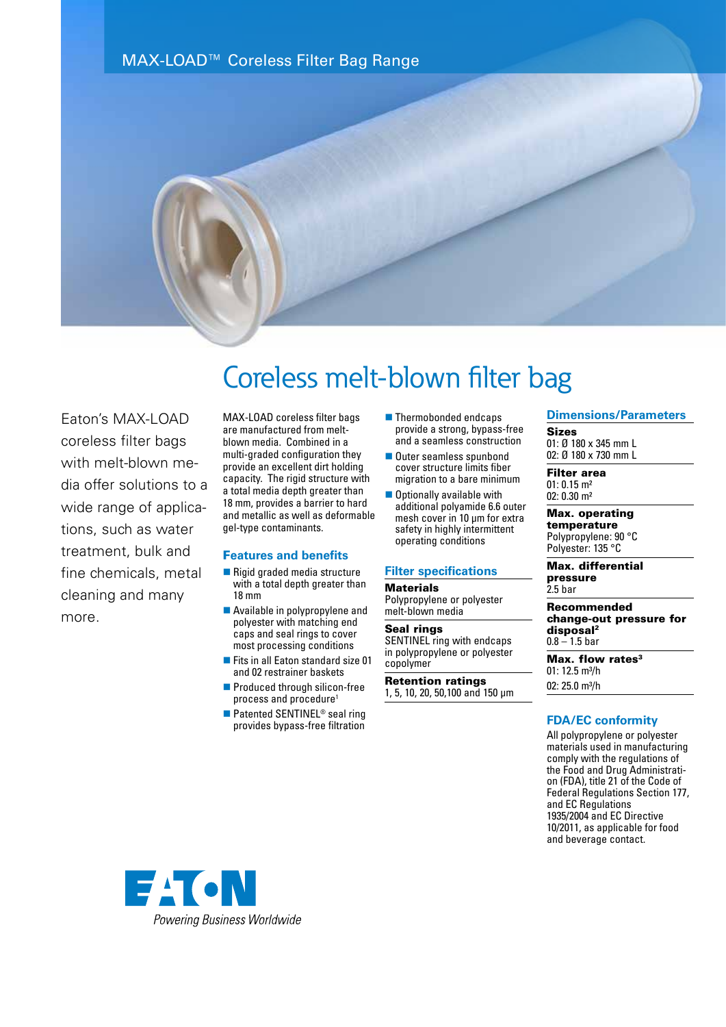



Eaton's MAX-LOAD coreless filter bags with melt-blown media offer solutions to a wide range of applications, such as water treatment, bulk and fine chemicals, metal cleaning and many more.

# Coreless melt-blown filter bag

MAX-LOAD coreless filter bags are manufactured from meltblown media. Combined in a multi-graded configuration they provide an excellent dirt holding capacity. The rigid structure with a total media depth greater than 18 mm, provides a barrier to hard and metallic as well as deformable gel-type contaminants.

# F**eatures and benefits**

- $\blacksquare$  Rigid graded media structure with a total depth greater than 18 mm
- **n** Available in polypropylene and polyester with matching end caps and seal rings to cover most processing conditions
- Fits in all Eaton standard size 01 and 02 restrainer baskets
- **n** Produced through silicon-free process and procedure<sup>1</sup>
- Patented SENTINEL<sup>®</sup> seal ring provides bypass-free filtration
- $\blacksquare$  Thermobonded endcaps provide a strong, bypass-free and a seamless construction
- **n** Outer seamless spunbond cover structure limits fiber migration to a bare minimum
- $\blacksquare$  Optionally available with additional polyamide 6.6 outer mesh cover in 10 µm for extra safety in highly intermittent operating conditions

# **Filter specifications**

# **Materials**

Polypropylene or polyester melt-blown media

#### Seal rings

SENTINEL ring with endcaps in polypropylene or polyester copolymer

Retention ratings 1, 5, 10, 20, 50,100 and 150 µm

# **Dimensions/Parameters**

Sizes 01: Ø 180 x 345 mm L 02: Ø 180 x 730 mm L

Filter area 01: 0.15 m² 02: 0.30 m²

#### Max. operating temperature Polypropylene: 90 °C

Polyester: 135 °C

Max. differential pressure 2.5 bar

# Recommended

change-out pressure for disposal2  $0.8 - 1.5$  bar

Max. flow rates<sup>3</sup> 01: 12.5 m<sup>3</sup>/h 02: 25.0 m<sup>3</sup>/h

# **FDA/EC conformity**

All polypropylene or polyester materials used in manufacturing comply with the regulations of the Food and Drug Administration (FDA), title 21 of the Code of Federal Regulations Section 177, and EC Regulations 1935/2004 and EC Directive 10/2011, as applicable for food and beverage contact.